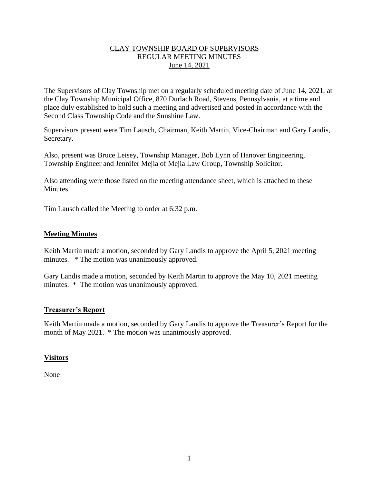# CLAY TOWNSHIP BOARD OF SUPERVISORS REGULAR MEETING MINUTES June 14, 2021

The Supervisors of Clay Township met on a regularly scheduled meeting date of June 14, 2021, at the Clay Township Municipal Office, 870 Durlach Road, Stevens, Pennsylvania, at a time and place duly established to hold such a meeting and advertised and posted in accordance with the Second Class Township Code and the Sunshine Law.

Supervisors present were Tim Lausch, Chairman, Keith Martin, Vice-Chairman and Gary Landis, Secretary.

Also, present was Bruce Leisey, Township Manager, Bob Lynn of Hanover Engineering, Township Engineer and Jennifer Mejia of Mejia Law Group, Township Solicitor.

Also attending were those listed on the meeting attendance sheet, which is attached to these Minutes.

Tim Lausch called the Meeting to order at 6:32 p.m.

### **Meeting Minutes**

Keith Martin made a motion, seconded by Gary Landis to approve the April 5, 2021 meeting minutes. \* The motion was unanimously approved.

Gary Landis made a motion, seconded by Keith Martin to approve the May 10, 2021 meeting minutes. \* The motion was unanimously approved.

#### **Treasurer's Report**

Keith Martin made a motion, seconded by Gary Landis to approve the Treasurer's Report for the month of May 2021. \* The motion was unanimously approved.

#### **Visitors**

None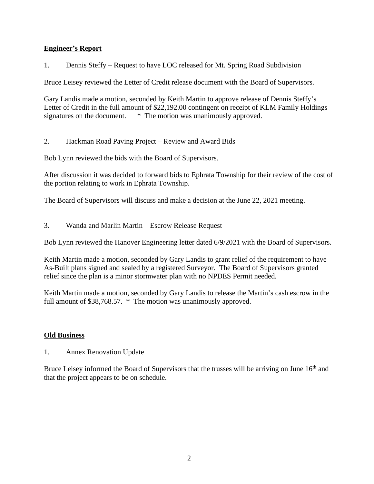# **Engineer's Report**

1. Dennis Steffy – Request to have LOC released for Mt. Spring Road Subdivision

Bruce Leisey reviewed the Letter of Credit release document with the Board of Supervisors.

Gary Landis made a motion, seconded by Keith Martin to approve release of Dennis Steffy's Letter of Credit in the full amount of \$22,192.00 contingent on receipt of KLM Family Holdings signatures on the document.  $*$  The motion was unanimously approved.

2. Hackman Road Paving Project – Review and Award Bids

Bob Lynn reviewed the bids with the Board of Supervisors.

After discussion it was decided to forward bids to Ephrata Township for their review of the cost of the portion relating to work in Ephrata Township.

The Board of Supervisors will discuss and make a decision at the June 22, 2021 meeting.

3. Wanda and Marlin Martin – Escrow Release Request

Bob Lynn reviewed the Hanover Engineering letter dated 6/9/2021 with the Board of Supervisors.

Keith Martin made a motion, seconded by Gary Landis to grant relief of the requirement to have As-Built plans signed and sealed by a registered Surveyor. The Board of Supervisors granted relief since the plan is a minor stormwater plan with no NPDES Permit needed.

Keith Martin made a motion, seconded by Gary Landis to release the Martin's cash escrow in the full amount of \$38,768.57. \* The motion was unanimously approved.

# **Old Business**

1. Annex Renovation Update

Bruce Leisey informed the Board of Supervisors that the trusses will be arriving on June 16<sup>th</sup> and that the project appears to be on schedule.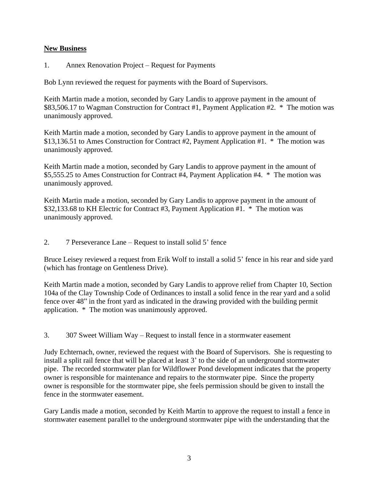# **New Business**

1. Annex Renovation Project – Request for Payments

Bob Lynn reviewed the request for payments with the Board of Supervisors.

Keith Martin made a motion, seconded by Gary Landis to approve payment in the amount of \$83,506.17 to Wagman Construction for Contract #1, Payment Application #2. \* The motion was unanimously approved.

Keith Martin made a motion, seconded by Gary Landis to approve payment in the amount of \$13,136.51 to Ames Construction for Contract #2, Payment Application #1. \* The motion was unanimously approved.

Keith Martin made a motion, seconded by Gary Landis to approve payment in the amount of \$5,555.25 to Ames Construction for Contract #4, Payment Application #4. \* The motion was unanimously approved.

Keith Martin made a motion, seconded by Gary Landis to approve payment in the amount of \$32,133.68 to KH Electric for Contract #3, Payment Application #1. \* The motion was unanimously approved.

2. 7 Perseverance Lane – Request to install solid 5' fence

Bruce Leisey reviewed a request from Erik Wolf to install a solid 5' fence in his rear and side yard (which has frontage on Gentleness Drive).

Keith Martin made a motion, seconded by Gary Landis to approve relief from Chapter 10, Section 104a of the Clay Township Code of Ordinances to install a solid fence in the rear yard and a solid fence over 48" in the front yard as indicated in the drawing provided with the building permit application. \* The motion was unanimously approved.

3. 307 Sweet William Way – Request to install fence in a stormwater easement

Judy Echternach, owner, reviewed the request with the Board of Supervisors. She is requesting to install a split rail fence that will be placed at least 3' to the side of an underground stormwater pipe. The recorded stormwater plan for Wildflower Pond development indicates that the property owner is responsible for maintenance and repairs to the stormwater pipe. Since the property owner is responsible for the stormwater pipe, she feels permission should be given to install the fence in the stormwater easement.

Gary Landis made a motion, seconded by Keith Martin to approve the request to install a fence in stormwater easement parallel to the underground stormwater pipe with the understanding that the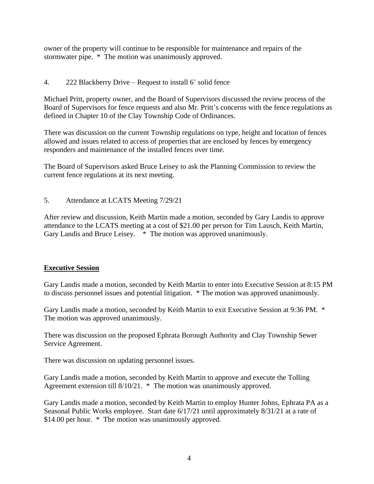owner of the property will continue to be responsible for maintenance and repairs of the stormwater pipe. \* The motion was unanimously approved.

# 4. 222 Blackberry Drive – Request to install 6' solid fence

Michael Pritt, property owner, and the Board of Supervisors discussed the review process of the Board of Supervisors for fence requests and also Mr. Pritt's concerns with the fence regulations as defined in Chapter 10 of the Clay Township Code of Ordinances.

There was discussion on the current Township regulations on type, height and location of fences allowed and issues related to access of properties that are enclosed by fences by emergency responders and maintenance of the installed fences over time.

The Board of Supervisors asked Bruce Leisey to ask the Planning Commission to review the current fence regulations at its next meeting.

5. Attendance at LCATS Meeting 7/29/21

After review and discussion, Keith Martin made a motion, seconded by Gary Landis to approve attendance to the LCATS meeting at a cost of \$21.00 per person for Tim Lausch, Keith Martin, Gary Landis and Bruce Leisey.  $*$  The motion was approved unanimously.

# **Executive Session**

Gary Landis made a motion, seconded by Keith Martin to enter into Executive Session at 8:15 PM to discuss personnel issues and potential litigation. \* The motion was approved unanimously.

Gary Landis made a motion, seconded by Keith Martin to exit Executive Session at 9:36 PM. \* The motion was approved unanimously.

There was discussion on the proposed Ephrata Borough Authority and Clay Township Sewer Service Agreement.

There was discussion on updating personnel issues.

Gary Landis made a motion, seconded by Keith Martin to approve and execute the Tolling Agreement extension till 8/10/21. \* The motion was unanimously approved.

Gary Landis made a motion, seconded by Keith Martin to employ Hunter Johns, Ephrata PA as a Seasonal Public Works employee. Start date 6/17/21 until approximately 8/31/21 at a rate of \$14.00 per hour. \* The motion was unanimously approved.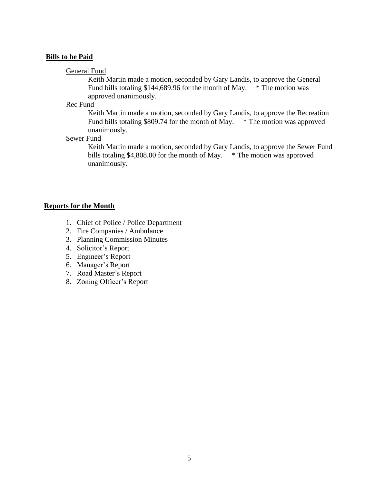#### **Bills to be Paid**

#### General Fund

Keith Martin made a motion, seconded by Gary Landis, to approve the General Fund bills totaling \$144,689.96 for the month of May. \* The motion was approved unanimously.

Rec Fund

Keith Martin made a motion, seconded by Gary Landis, to approve the Recreation Fund bills totaling \$809.74 for the month of May. \* The motion was approved unanimously.

### Sewer Fund

Keith Martin made a motion, seconded by Gary Landis, to approve the Sewer Fund bills totaling \$4,808.00 for the month of May.  $*$  The motion was approved unanimously.

#### **Reports for the Month**

- 1. Chief of Police / Police Department
- 2. Fire Companies / Ambulance
- 3. Planning Commission Minutes
- 4. Solicitor's Report
- 5. Engineer's Report
- 6. Manager's Report
- 7. Road Master's Report
- 8. Zoning Officer's Report